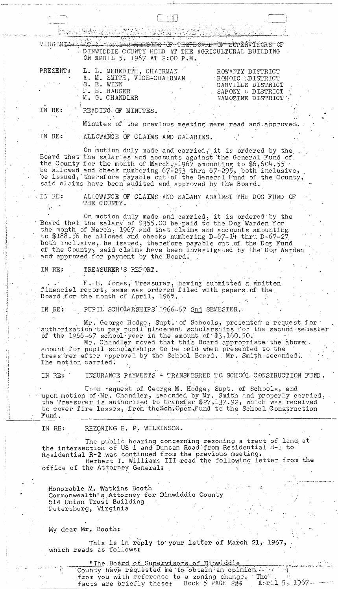Et avec Adistración de PO VIRGINIA <del>CULLE NEBPTIG OP THE DOMN OF SUPERVISCR</del>S OF DINWIDDIE COUNTY HELD AT THE AGRICULTURAL BUILDING ON APRIL 5, 1967 AT 2:00 P.M. L. L. MEREDITH, CHAIRMAN PRESENT: ROWANTY DISTRICT A. M. SMITH, VICE-CHAIRMAN ROHOIC LDISTRICT S. E. WINN DARVILLS DISTRICT P. E. HAUSER SAPONY # DISTRICT M. G. CHANDLER NAMOZINE DISTRICT IN RE: READING OF MINUTES. Minutes of the previous meeting were read and approved.

IN RE: ALLOWANCE OF CLAIMS AND SALARIES.

On motion duly made and carried, it is ordered by the<br>Board that the salaries and accounts against the General Fund of<br>the County for the month of March; 1967 amounting to \$6,604.55 be allowed and check numbering 67-253 thru 67-295, both inclusive, be issued, therefore payable out of the General Fund of the County, said claims have been audited and approved by the Board.

IN RE: ALLOWANCE OF CLAIMS AND SALARY AGAINST THE DOG FUND OF THE COUNTY.

On motion duly made and carried, it is ordered by the Board that the salary of \$355.00 be paid to the Dog Warden for the month of March, 1967 and that claims and accounts amounting. to \$188.56 be allowed and checks numbering D-67-14 thru D-67-27 both inclusive, be issued, therefore payable out of the Dog Fund of the County, said claims have been investigated by the Dog Warden and approved for payment by the Board.

TREASURER'S REPORT. IN RE:

F. E. Jones, Treasurer, having submitted a written<br>financial report, same was ordered filed with papers of the<br>Board for the month of April, 1967.

PUPIL SCHOLARSHIPS 1966-67 2nd SEMESTER. IN RE:

Mr. George Hodge, Supt. of Schools, presented a request for authorization to pay pupil placement scholarships for the second semester<br>of the 1966-67 school year in the amount of \$3,160.50.<br>Mr. Chandler moved that this Board appropriate the above<br>amount for pupil scholarships to be

treasurer after approval by the School Board. Mr. Smith seconded. The motion carried.

INSURANCE PAYMENTS \* TRANSFERRED TO SCHOOL CONSTRUCTION FUND. IN RE:

Upon request of George M. Hodge, Supt. of Schools, and upon motion of Mr. Chandler, seconded by Mr. Smith and properly carried, the Treasurer is authorized to transfer \$27,137.92, which was received to cover fire losses, from the Sch. Oper. Fund to the School Construction Fund.

REZONING E. P. WILKINSON. IN RE:

The public hearing concerning rezoning a tract of land at<br>the intersection of US 1 and Duncan Road from Residential R-1 to Residential R-2 was continued from the previous meeting. Herbert T. Williams III read the following letter from the office of the Attorney General:

Honorapie M. Markina poom Commonwealth's Attorney for Dinwiddie County 514 Union Trust Building . Petersburg, Virginia

My dear Mr. Booth:

This is in reply to your letter of March 21, 1967, which reads as follows:

> <u>"The Board of Supervisors of Dinwiddie</u> County have requested me to obtain an opinion and

facts are briefly these: Book 5 PAGE 234

from you with reference to a zoning change. The

April 5, 1967 -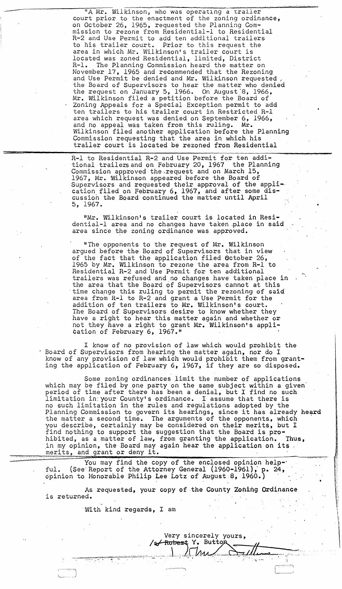"A Mr. Wilkinson, who was operating a trailer court prior to the enactment of the zoning ordinance, on October 26, 1965, requested the Planning Commission to rezone from Residential-l to Residential R-2 and Use Permit to add ten additional trailers to his trailer court. Prior to this request the area in which Mr. Wilkinson's trailer court is located was zoned Residential, limited, District R-1. The Planning Commission heard the matter on<br>November 17, 1965 and recommended that the Rezoning and Use Permit be denied and Mr. Wilkinson requested the Board of Supervisors to hear the matter who denied the request on January 5, 1966. On August 8, 1966, Mr. Wilkinson filed a petition before the Board of Zoning Appeals for a Special Exception permit to add ten trailers to his trailer court in Restricted R-l area which request was denied on September 6, 1966, and no appeal was taken from this ruling. Mr. Wilkinson filed another application before the Planning Commission requesting that the area in which his trailer court is located be rezoned from Residential

 $\frac{1}{(1, 0, 1)}$  ,  $\frac{1}{(1, 0, 1)}$  ,  $\frac{1}{(1, 0, 1)}$  ,  $\frac{1}{(1, 0, 1)}$  ,  $\frac{1}{(1, 0, 1)}$  ,  $\frac{1}{(1, 0, 1)}$  ,  $\frac{1}{(1, 0, 1)}$  ,  $\frac{1}{(1, 0, 1)}$  ,  $\frac{1}{(1, 0, 1)}$  ,  $\frac{1}{(1, 0, 1)}$  ,  $\frac{1}{(1, 0, 1)}$  ,  $\frac{1}{(1, 0,$ 

R-l to Residential R-2 and Use Permit for ten additional trailers and on February 20, 1967 ' the Planning Commission approved the request and on March 15, 1967, Mr. Wilkinson appeared before the Board of Supervisors and requested their approval of the application filed on February 6, 1967, and after some discussion the Board continued the matter until April 5, 1967.

**&26\$\*** 

"Mr. Wilkinson's trailer court is located in Residential-l area and no changes have taken .place. in said area since the zoning ordinance was approved.

•

"The opponents to the request of Mr. Wilkinson argued before the Board of Supervisors that in view of the fact that the application filed October 26, 1965 by Mr. Wilkinson to rezone the area from R-l to Residential R-2 and Use Permit for ten additional trailers was refused and,no changes have taken place in the area that the Board of Supervisors cannot at this 'time change this ruling to permit the rezoning of said' area from  $R-L$  to  $R-2$  and grant a Use Permit for the addition of ten trailers to Mr. Wilkinson's court.<br>The Board of Supervisors desire to know whether they have a right to hear this matter again and whether or not they have a right to grant Mr. Wilkinson's application of February 6, 1967."

I know of no provision of law which would prohibit the . Board of Supervisors from hearing the matter again, nor do I know of any provision of law which would prohibit them from granting the application of February 6, 1967, if they are so disposed.

Some zoning ordinances limit the number of applications which may be filed by one party on the same subject within a given' period of time after there has been a denial, but I find no such limitation in:your County's ordinance. I assume that there is no such limitation in the rules and regulations adopted by the no such flantacion in the rules and regulations adopted by the<br>Planning Commission to govern its hearings, since it has already heard the matter a second time. *The* arguments of the opponents, which you describe, certainly may be considered on their merits, but I find nothing to support the suggestion that the Board is prohibited, as a matter of law, from granting the application. Thus, ,in my opinion, the Board may again hear the application on its In my opinion, the Board may.<br>
merits, and grant or deny it.

You may find the copy of the enclosed opinion help-' ful. (See Report of the Attorney General  $(1960-1961)$ , p. 24, opinion to Honorable Philip Lee Lotz of August 8, 1960.)

As requested, your copy of the County Zoning Ordinance is returned.

With kind regards, I am

Very sincerely yours,<br>/s<del>/Rober</del>t Y. Buttop

 $\cdot$  .

 $\overline{\phantom{0}}$  $\setminus$ 

 $M_{\rm A}$ ,  $M_{\rm A}$ ,  $M_{\rm A}$ ,  $M_{\rm A}$ ,  $M_{\rm A}$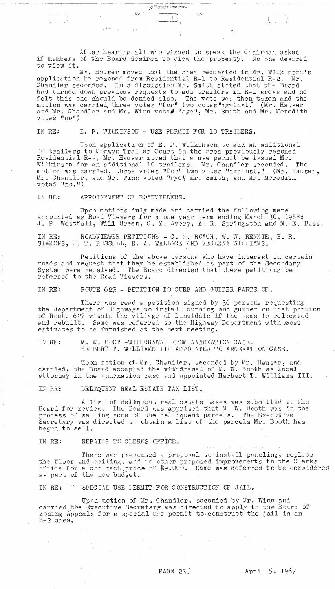After hearing all who wished to speek the Chairman asked if members of the Board desired to. view the property. No one desired to view it.

\_~\_-.l~.' ~ \_\_\_\_\_\_\_\_\_\_\_\_\_\_\_\_\_\_\_ ~

--,- -~

 $\Box$ 

Mr. Hauser moved that the area requested in Mr. Wilkinson's application be rezoned from Residential R-1 to Residential R-2. Mr. Chandler seconded. In a discussion Mr. Smith stated that the Board had turned down previous requests to add trailers in R-1 areas and he felt this one should be denied also. The vote was then taken and the motion was carried, three votes "for" two votes "against." (Mr. Hauser and Mr. Chandler and Mr. Winn voted "aye", Mr. Smith and Mr. Meredith voted "no")

IN RE: E. P. WILKINSON - USE PERMIT FOR 10 TRAILERS.

Upon application of E. P. Wilkinson to add an additional 10 trailers to Monwyn Trailer Court in the area previously rezoned Residential R-2, Mr. Hauser moved that a use permit be issued Mr. Wilkinson for an additional 10 trailers. Mr. Chandler seconded. The motion was carried, three votes "for" two votes "against." (Mr. Hauser, Mr. Chandler, and Mr. Winn voted "aye" Mr. Smith, and Mr. Meredith voted "no. Ii)

IN RE: APPOINTMENT OF ROADVIEWERS.

Upon motions duly made and carried the following were appointed as Road Viewers for a one year term ending March 30, 1968: J. P. Westfall, Will Green, C. Y. Avery, A. R. Springston and M. E. Bass.

IN RE: ROADVIEWER PETITIONS  $- C$ . J. ROACH, W. W. RENNIE, B. R. SIMMONS, J. T. RUSSELL, R. A. WALLACE AND VERLENA WILLIAMS.

Petitions of the above persons who heve interest in certain roads and request that they be established as part of the Secondary System were received. The Board directed that these petitions be referred to the Road Viewers.

IN RE: ROUTE 627 - PETITION TO CURB AND GUTTER PARTS OF.

There was read a petition signed by 36 persons requesting the Deoartment of Highways to install curbing and gutter on that portion of Route 627 within the village of Dinwiddie if the same is relocated and rebuilt. Same was referred to the Highway Department with cost estimates to be furnished at the next meeting.

IN RE: M. W. BOOTH-WITHDRAWAL FROM ANNEXATION CASE. HERBERT T. WILLIAMS III APPOINTED TO ANNEXATION CASE.

Upon motion of· Mr. Chandler, seconded by Mr. Hauser, and carried, the Board accepted the withdrawal of M. W. Booth as local attorney in the annexation case and appointed Herbert T. Williams III.

. DEIINQUENT REAL ESTATE TAX LIST. IN RE?

A list of delinquent real estate taxes was submitted to the Board for review. The Board was apprised that  $M$ . W. Booth was in the process of selling fome of the delinquent parcels. The Executive process of sering some of the definduent parcers. The BAecutive<br>Secretary was directed to obtain a list of the parcels Mr. Booth has begun to sell.

IN RE: REPAIRS TO CLERKS OFFICE.

There was presented a proposal to install paneling, replace the floor and ceiling, and do other proposed improvements to the Clerks office for a contract price of  $$9,000$ . Same was deferred to be considered as part of the new budget.

IN RE: SPECIAL USE PERMIT FOR CONSTRUCTION OF JAIL.

Upon motion of Mr. Chandler, seconded by Mr. Winn and carried the Executive Secretary was directed to apply to the Board of Zoning Appeals for a special use permit to-construct the jail.in an R-2 area.